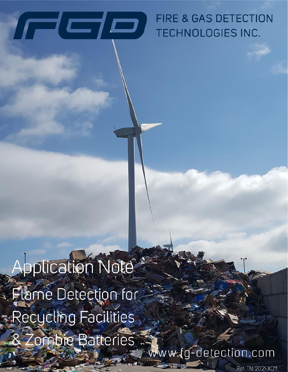

# **FIRE & GAS DETECTION** TECHNOLOGIES INC.

Application Note **Elame Detection for** Recycling Facilities & Zombie Batteries

www.fg-detection.com

Ref: TN: 2021-X011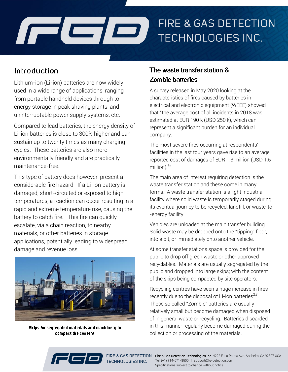

## Introduction

Lithium-ion (Li-ion) batteries are now widely used in a wide range of applications, ranging from portable handheld devices through to energy storage in peak shaving plants, and uninterruptable power supply systems, etc.

Compared to lead batteries, the energy density of Li-ion batteries is close to 300% higher and can sustain up to twenty times as many charging cycles. These batteries are also more environmentally friendly and are practically maintenance-free.

This type of battery does however, present a considerable fire hazard. If a Li-ion battery is damaged, short-circuited or exposed to high temperatures, a reaction can occur resulting in a rapid and extreme temperature rise, causing the battery to catch fire. This fire can quickly escalate, via a chain reaction, to nearby materials, or other batteries in storage applications, potentially leading to widespread damage and revenue loss.



Skips for segregated materials and machinery to compact the content

### The waste transfer station & **Zombie batteries**

A survey released in May 2020 looking at the characteristics of fires caused by batteries in electrical and electronic equipment (WEEE) showed that "the average cost of all incidents in 2018 was estimated at EUR 190 k (USD 250 k), which can represent a significant burden for an individual company.

The most severe fires occurring at respondents' facilities in the last four years gave rise to an average reported cost of damages of EUR 1.3 million (USD 1.5 million). $1$ "

The main area of interest requiring detection is the waste transfer station and these come in many forms. A waste transfer station is a light industrial facility where solid waste is temporarily staged during its eventual journey to be recycled, landfill, or waste-to -energy facility.

Vehicles are unloaded at the main transfer building. Solid waste may be dropped onto the "tipping" floor, into a pit, or immediately onto another vehicle.

At some transfer stations space is provided for the public to drop off green waste or other approved recyclables. Materials are usually segregated by the public and dropped into large skips; with the content of the skips being compacted by site operators.

Recycling centres have seen a huge increase in fires recently due to the disposal of Li-ion batteries<sup>2,3</sup>. These so called "Zombie" batteries are usually relatively small but become damaged when disposed of in general waste or recycling. Batteries discarded in this manner regularly become damaged during the collection or processing of the materials.



TECHNOLOGIES INC.

FIRE & GAS DETECTION Fire & Gas Detection Technologies Inc. 4222 E. La Palma Ave. Anaheim, CA 92807 USA Tel: (+1) 714-671-8500 | support@fg-detection.com Specifications subject to change without notice.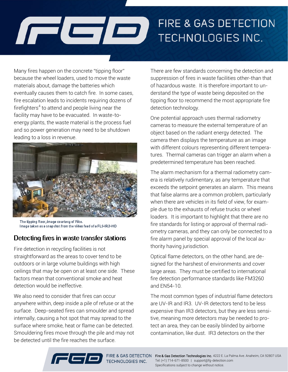# FIRE & GAS DETECTION  $\sqrt{ }$ TECHNOLOGIES INC.

Many fires happen on the concrete "tipping floor" because the wheel loaders, used to move the waste materials about, damage the batteries which eventually causes them to catch fire. In some cases, fire escalation leads to incidents requiring dozens of firefighters<sup>4</sup> to attend and people living near the facility may have to be evacuated. In waste-toenergy plants, the waste material is the process fuel and so power generation may need to be shutdown leading to a loss in revenue.



The tipping floor, image courtesy of Fike. Image taken as a snapshot from the video feed of a FLS-IR3-HD

#### Detecting fires in waste transfer stations

Fire detection in recycling facilities is not straightforward as the areas to cover tend to be outdoors or in large volume buildings with high ceilings that may be open on at least one side. These factors mean that conventional smoke and heat detection would be ineffective.

We also need to consider that fires can occur anywhere within, deep inside a pile of refuse or at the surface. Deep-seated fires can smoulder and spread internally, causing a hot spot that may spread to the surface where smoke, heat or flame can be detected. Smouldering fires move through the pile and may not be detected until the fire reaches the surface.

There are few standards concerning the detection and suppression of fires in waste facilities other-than that of hazardous waste. It is therefore important to understand the type of waste being deposited on the tipping floor to recommend the most appropriate fire detection technology.

One potential approach uses thermal radiometry cameras to measure the external temperature of an object based on the radiant energy detected. The camera then displays the temperature as an image with different colours representing different temperatures. Thermal cameras can trigger an alarm when a predetermined temperature has been reached.

The alarm mechanism for a thermal radiometry camera is relatively rudimentary, as any temperature that exceeds the setpoint generates an alarm. This means that false alarms are a common problem, particularly when there are vehicles in its field of view, for example due to the exhausts of refuse trucks or wheel loaders. It is important to highlight that there are no fire standards for listing or approval of thermal radiometry cameras, and they can only be connected to a fire alarm panel by special approval of the local authority having jurisdiction.

Optical flame detectors, on the other hand, are designed for the harshest of environments and cover large areas. They must be certified to international fire detection performance standards like FM3260 and EN54-10.

The most common types of industrial flame detectors are UV-IR and IR3. UV-IR detectors tend to be less expensive than IR3 detectors, but they are less sensitive, meaning more detectors may be needed to protect an area, they can be easily blinded by airborne contamination, like dust. IR3 detectors on the ther



TECHNOLOGIES INC.

FIRE & GAS DETECTION Fire & Gas Detection Technologies Inc. 4222 E. La Palma Ave. Anaheim, CA 92807 USA Tel: (+1) 714-671-8500 | support@fg-detection.com Specifications subject to change without notice.